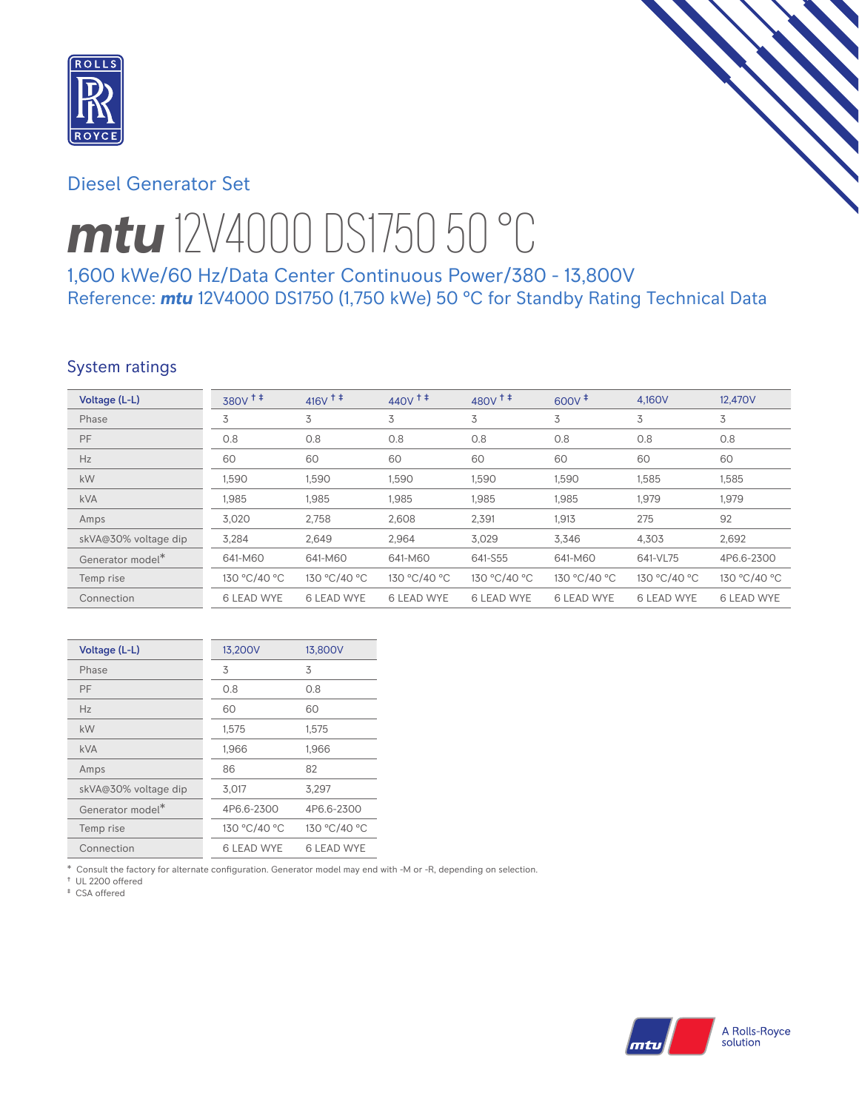

# Diesel Generator Set

# *mtu* 12V4000 DS1750 50 °C

1,600 kWe/60 Hz/Data Center Continuous Power/380 - 13,800V Reference: *mtu* 12V4000 DS1750 (1,750 kWe) 50 °C for Standby Rating Technical Data

## System ratings

| Voltage (L-L)        | $380V$ <sup>++</sup> | $416V$ <sup>++</sup> | 440 $V$ <sup><math>\ddagger</math></sup> $\ddagger$ | $480V^{\text{+}}$ | $600V^+$          | 4.160V            | 12,470V           |
|----------------------|----------------------|----------------------|-----------------------------------------------------|-------------------|-------------------|-------------------|-------------------|
| Phase                | 3                    | 3                    | 3                                                   | 3                 | 3                 | 3                 | 3                 |
| PF                   | 0.8                  | 0.8                  | 0.8                                                 | 0.8               | 0.8               | 0.8               | 0.8               |
| Hz                   | 60                   | 60                   | 60                                                  | 60                | 60                | 60                | 60                |
| kW                   | 1,590                | 1,590                | 1,590                                               | 1,590             | 1,590             | 1,585             | 1,585             |
| <b>kVA</b>           | 1,985                | 1,985                | 1,985                                               | 1,985             | 1,985             | 1,979             | 1,979             |
| Amps                 | 3.020                | 2,758                | 2,608                                               | 2,391             | 1,913             | 275               | 92                |
| skVA@30% voltage dip | 3,284                | 2,649                | 2,964                                               | 3,029             | 3.346             | 4,303             | 2,692             |
| Generator model*     | 641-M60              | 641-M60              | 641-M60                                             | 641-S55           | 641-M60           | 641-VL75          | 4P6.6-2300        |
| Temp rise            | 130 °C/40 °C         | 130 °C/40 °C         | 130 °C/40 °C                                        | 130 °C/40 °C      | 130 °C/40 °C      | 130 °C/40 °C      | 130 °C/40 °C      |
| Connection           | <b>6 LEAD WYE</b>    | <b>6 LEAD WYE</b>    | <b>6 LEAD WYE</b>                                   | <b>6 LEAD WYE</b> | <b>6 LEAD WYE</b> | <b>6 LEAD WYE</b> | <b>6 LEAD WYE</b> |

| Voltage (L-L)        | 13,200V           | 13,800V      |
|----------------------|-------------------|--------------|
| Phase                | 3                 | 3            |
| PF                   | 0.8               | 0.8          |
| Hz                   | 60                | 60           |
| kW                   | 1,575             | 1,575        |
| <b>kVA</b>           | 1,966             | 1,966        |
| Amps                 | 86                | 82           |
| skVA@30% voltage dip | 3,017             | 3.297        |
| Generator model*     | 4P6.6-2300        | 4P6.6-2300   |
| Temp rise            | 130 °C/40 °C      | 130 °C/40 °C |
| Connection           | <b>6 LEAD WYE</b> | 6 LEAD WYE   |

\* Consult the factory for alternate configuration. Generator model may end with -M or -R, depending on selection.

† UL 2200 offered ‡ CSA offered

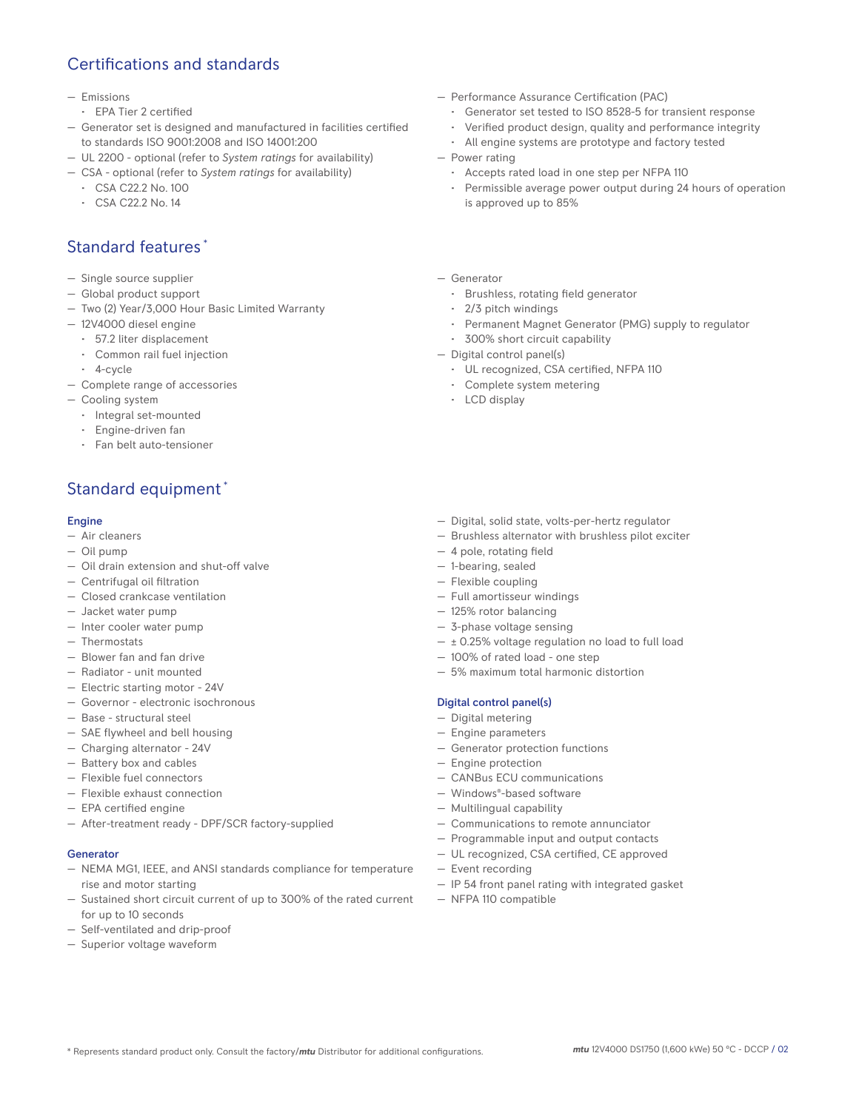## Certifications and standards

#### — Emissions

- EPA Tier 2 certified
- Generator set is designed and manufactured in facilities certified to standards ISO 9001:2008 and ISO 14001:200
- UL 2200 optional (refer to *System ratings* for availability)
- CSA optional (refer to *System ratings* for availability)
	- CSA C22.2 No. 100
	- CSA C22.2 No. 14

## Standard features \*

- Single source supplier
- Global product support
- Two (2) Year/3,000 Hour Basic Limited Warranty
- 12V4000 diesel engine
	- 57.2 liter displacement
	- Common rail fuel injection
- 4-cycle
- Complete range of accessories
- Cooling system
	- Integral set-mounted
	- Engine-driven fan
	- Fan belt auto-tensioner

# Standard equipment \*

#### Engine

- Air cleaners
- Oil pump
- Oil drain extension and shut-off valve
- Centrifugal oil filtration
- Closed crankcase ventilation
- Jacket water pump
- Inter cooler water pump
- Thermostats
- Blower fan and fan drive
- Radiator unit mounted
- Electric starting motor 24V
- Governor electronic isochronous
- Base structural steel
- SAE flywheel and bell housing
- Charging alternator 24V
- Battery box and cables
- Flexible fuel connectors
- Flexible exhaust connection
- EPA certified engine
- After-treatment ready DPF/SCR factory-supplied

#### Generator

- NEMA MG1, IEEE, and ANSI standards compliance for temperature rise and motor starting
- Sustained short circuit current of up to 300% of the rated current for up to 10 seconds
- Self-ventilated and drip-proof
- Superior voltage waveform
- Performance Assurance Certification (PAC)
	- Generator set tested to ISO 8528-5 for transient response
	- Verified product design, quality and performance integrity
	- All engine systems are prototype and factory tested
- Power rating
	- Accepts rated load in one step per NFPA 110
	- Permissible average power output during 24 hours of operation is approved up to 85%
- Generator
	- Brushless, rotating field generator
	- 2/3 pitch windings
	- Permanent Magnet Generator (PMG) supply to regulator
- 300% short circuit capability
- Digital control panel(s)
	- UL recognized, CSA certified, NFPA 110
	- Complete system metering
	- LCD display
- Digital, solid state, volts-per-hertz regulator
- Brushless alternator with brushless pilot exciter
- 4 pole, rotating field
- 1-bearing, sealed
- Flexible coupling
- Full amortisseur windings
- 125% rotor balancing
- 3-phase voltage sensing
- $\pm$  0.25% voltage regulation no load to full load
- 100% of rated load one step
- 5% maximum total harmonic distortion

#### Digital control panel(s)

- Digital metering
- Engine parameters
- Generator protection functions
- Engine protection
- CANBus ECU communications
- Windows®-based software
- Multilingual capability
- Communications to remote annunciator
- Programmable input and output contacts
- UL recognized, CSA certified, CE approved
- Event recording
- IP 54 front panel rating with integrated gasket
- NFPA 110 compatible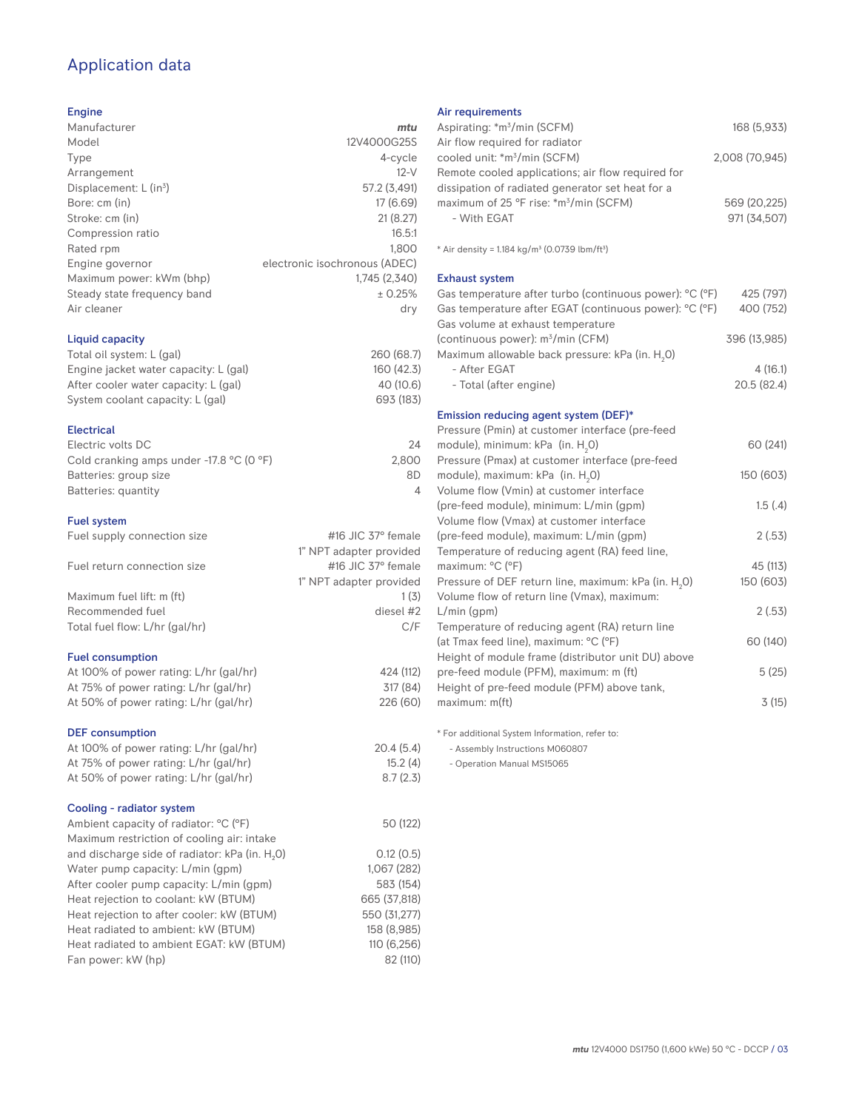# Application data

#### Engine

| mtu                           |
|-------------------------------|
| 12V4000G25S                   |
| 4-cycle                       |
| $12-V$                        |
| 57.2 (3,491)                  |
| 17 (6.69)                     |
| 21(8.27)                      |
| 16.5:1                        |
| 1,800                         |
| electronic isochronous (ADEC) |
| 1,745 (2,340)                 |
| ± 0.25%                       |
| dry                           |
|                               |
| 260 (68.7)                    |
| 160 (42.3)                    |
| 40 (10.6)                     |
| 693 (183)                     |
|                               |

#### Electrical

| Electric volts DC                                            | 24    |
|--------------------------------------------------------------|-------|
| Cold cranking amps under -17.8 $^{\circ}$ C (O $^{\circ}$ F) | 2.800 |
| Batteries: group size                                        | 8D    |
| Batteries: quantity                                          |       |
|                                                              |       |

#### Fuel system

| Fuel supply connection size    | #16 JIC $37^\circ$ female |
|--------------------------------|---------------------------|
|                                | 1" NPT adapter provided   |
| Fuel return connection size    | #16 JIC $37^\circ$ female |
|                                | 1" NPT adapter provided   |
| Maximum fuel lift: m (ft)      | 1(3)                      |
| Recommended fuel               | diesel #2                 |
| Total fuel flow: L/hr (gal/hr) | C/F                       |
|                                |                           |

#### Fuel consumption

| At 100% of power rating: L/hr (gal/hr) |  |
|----------------------------------------|--|
| At 75% of power rating: L/hr (gal/hr)  |  |
| At 50% of power rating: L/hr (gal/hr)  |  |
|                                        |  |

#### DEF consumption

| At 100% of power rating: L/hr (gal/hr)<br>At 75% of power rating: L/hr (gal/hr)<br>At 50% of power rating: L/hr (gal/hr) | 20.4(5.4)<br>15.2(4)<br>8.7(2.3) |
|--------------------------------------------------------------------------------------------------------------------------|----------------------------------|
| Cooling - radiator system                                                                                                |                                  |
| Ambient capacity of radiator: °C (°F)                                                                                    | 50 (122)                         |
| Maximum restriction of cooling air: intake                                                                               |                                  |
| and discharge side of radiator: kPa (in. H <sub>2</sub> O)                                                               | 0.12(0.5)                        |
| Water pump capacity: L/min (gpm)                                                                                         | 1.067(282)                       |
| After cooler pump capacity: L/min (gpm)                                                                                  | 583 (154)                        |
| Heat rejection to coolant: kW (BTUM)                                                                                     | 665 (37.818)                     |
| Heat rejection to after cooler: kW (BTUM)                                                                                | 550 (31,277)                     |
| Heat radiated to ambient: kW (BTUM)                                                                                      | 158 (8,985)                      |
| Heat radiated to ambient EGAT: kW (BTUM)                                                                                 | 110(6, 256)                      |
| Fan power: kW (hp)                                                                                                       | 82 (110)                         |
|                                                                                                                          |                                  |

#### Air requirements

| Aspirating: *m <sup>3</sup> /min (SCFM)                                                     | 168 (5,933)    |
|---------------------------------------------------------------------------------------------|----------------|
| Air flow required for radiator<br>cooled unit: *m <sup>3</sup> /min (SCFM)                  | 2,008 (70,945) |
| Remote cooled applications; air flow required for                                           |                |
| dissipation of radiated generator set heat for a                                            |                |
| maximum of 25 °F rise: *m <sup>3</sup> /min (SCFM)                                          | 569 (20,225)   |
| - With EGAT                                                                                 | 971 (34,507)   |
|                                                                                             |                |
| * Air density = 1.184 kg/m <sup>3</sup> (0.0739 lbm/ft <sup>3</sup> )                       |                |
| <b>Exhaust system</b>                                                                       |                |
| Gas temperature after turbo (continuous power): °C (°F)                                     | 425 (797)      |
| Gas temperature after EGAT (continuous power): °C (°F)<br>Gas volume at exhaust temperature | 400 (752)      |
| (continuous power): m <sup>3</sup> /min (CFM)                                               | 396 (13,985)   |
| Maximum allowable back pressure: kPa (in. H <sub>2</sub> 0)                                 |                |
| - After EGAT                                                                                | 4(16.1)        |
| - Total (after engine)                                                                      | 20.5 (82.4)    |
|                                                                                             |                |
| Emission reducing agent system (DEF)*                                                       |                |
| Pressure (Pmin) at customer interface (pre-feed                                             |                |
| module), minimum: kPa (in. H <sub>2</sub> O)                                                | 60 (241)       |
| Pressure (Pmax) at customer interface (pre-feed                                             |                |
| module), maximum: kPa (in. H <sub>2</sub> O)                                                | 150 (603)      |
| Volume flow (Vmin) at customer interface                                                    |                |
| (pre-feed module), minimum: L/min (qpm)                                                     | 1.5(4)         |
| Volume flow (Vmax) at customer interface                                                    |                |
| (pre-feed module), maximum: L/min (gpm)                                                     | 2(.53)         |
| Temperature of reducing agent (RA) feed line,<br>maximum: °C (°F)                           | 45 (113)       |
| Pressure of DEF return line, maximum: kPa (in. H <sub>2</sub> 0)                            | 150 (603)      |
| Volume flow of return line (Vmax), maximum:                                                 |                |
| $L/min$ (gpm)                                                                               | 2(.53)         |
| Temperature of reducing agent (RA) return line                                              |                |
| (at Tmax feed line), maximum: °C (°F)                                                       | 60 (140)       |
| Height of module frame (distributor unit DU) above                                          |                |
| pre-feed module (PFM), maximum: m (ft)                                                      | 5(25)          |
| Height of pre-feed module (PFM) above tank,                                                 |                |
| maximum: m(ft)                                                                              | 3(15)          |
|                                                                                             |                |

\* For additional System Information, refer to:

- Assembly Instructions M060807

- Operation Manual MS15065

424 (112) 317 (84) 226 (60)